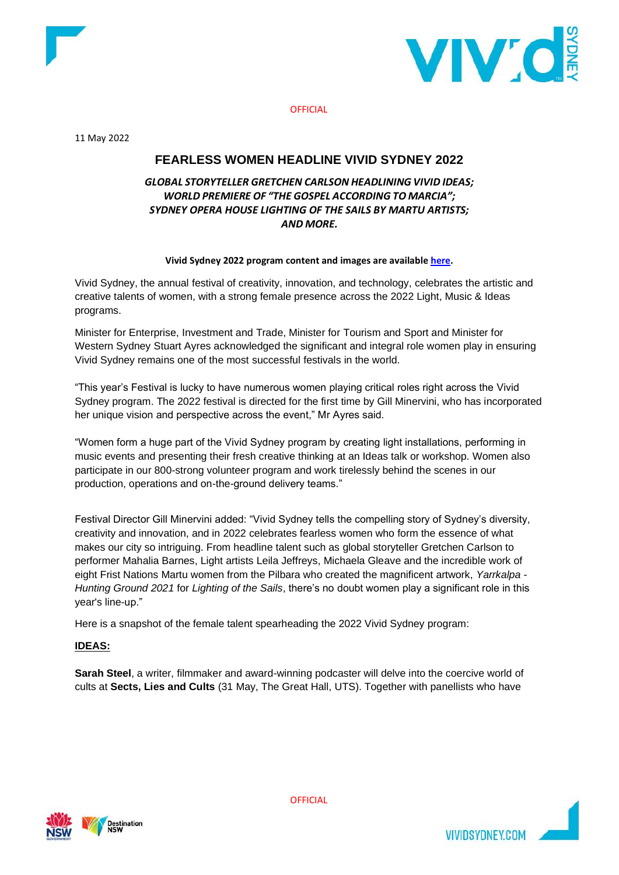



11 May 2022

# **FEARLESS WOMEN HEADLINE VIVID SYDNEY 2022**

## *GLOBAL STORYTELLER GRETCHEN CARLSON HEADLINING VIVID IDEAS; WORLD PREMIERE OF "THE GOSPEL ACCORDING TO MARCIA"; SYDNEY OPERA HOUSE LIGHTING OF THE SAILS BY MARTU ARTISTS; AND MORE.*

### **Vivid Sydney 2022 program content and images are availabl[e here.](https://www.dropbox.com/sh/8tn70qxwyh0dxb7/AAAeK2I1GsEbJ8PBYDkl4aPJa?dl=0)**

Vivid Sydney, the annual festival of creativity, innovation, and technology, celebrates the artistic and creative talents of women, with a strong female presence across the 2022 Light, Music & Ideas programs.

Minister for Enterprise, Investment and Trade, Minister for Tourism and Sport and Minister for Western Sydney Stuart Ayres acknowledged the significant and integral role women play in ensuring Vivid Sydney remains one of the most successful festivals in the world.

"This year's Festival is lucky to have numerous women playing critical roles right across the Vivid Sydney program. The 2022 festival is directed for the first time by Gill Minervini, who has incorporated her unique vision and perspective across the event," Mr Ayres said.

"Women form a huge part of the Vivid Sydney program by creating light installations, performing in music events and presenting their fresh creative thinking at an Ideas talk or workshop. Women also participate in our 800-strong volunteer program and work tirelessly behind the scenes in our production, operations and on-the-ground delivery teams."

Festival Director Gill Minervini added: "Vivid Sydney tells the compelling story of Sydney's diversity, creativity and innovation, and in 2022 celebrates fearless women who form the essence of what makes our city so intriguing. From headline talent such as global storyteller Gretchen Carlson to performer Mahalia Barnes, Light artists Leila Jeffreys, Michaela Gleave and the incredible work of eight Frist Nations Martu women from the Pilbara who created the magnificent artwork, *Yarrkalpa - Hunting Ground 2021* for *Lighting of the Sails*, there's no doubt women play a significant role in this year's line-up."

Here is a snapshot of the female talent spearheading the 2022 Vivid Sydney program:

## **IDEAS:**

**Sarah Steel**, a writer, filmmaker and award-winning podcaster will delve into the coercive world of cults at **Sects, Lies and Cults** (31 May, The Great Hall, UTS). Together with panellists who have



**VIVIDSYDNEY.COM**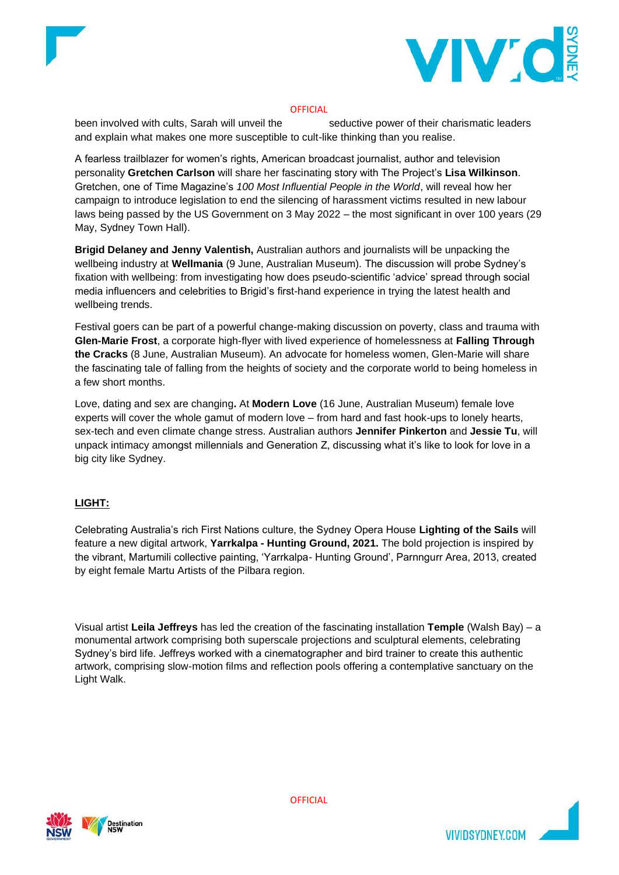



been involved with cults, Sarah will unveil the seductive power of their charismatic leaders and explain what makes one more susceptible to cult-like thinking than you realise.

A fearless trailblazer for women's rights, American broadcast journalist, author and television personality **Gretchen Carlson** will share her fascinating story with The Project's **Lisa Wilkinson**. Gretchen, one of Time Magazine's *100 Most Influential People in the World*, will reveal how her campaign to introduce legislation to end the silencing of harassment victims resulted in new labour laws being passed by the US Government on 3 May 2022 – the most significant in over 100 years (29 May, Sydney Town Hall).

**Brigid Delaney and Jenny Valentish,** Australian authors and journalists will be unpacking the wellbeing industry at **Wellmania** (9 June, Australian Museum). The discussion will probe Sydney's fixation with wellbeing: from investigating how does pseudo-scientific 'advice' spread through social media influencers and celebrities to Brigid's first-hand experience in trying the latest health and wellbeing trends.

Festival goers can be part of a powerful change-making discussion on poverty, class and trauma with **Glen-Marie Frost**, a corporate high-flyer with lived experience of homelessness at **Falling Through the Cracks** (8 June, Australian Museum). An advocate for homeless women, Glen-Marie will share the fascinating tale of falling from the heights of society and the corporate world to being homeless in a few short months.

Love, dating and sex are changing**.** At **Modern Love** (16 June, Australian Museum) female love experts will cover the whole gamut of modern love – from hard and fast hook-ups to lonely hearts, sex-tech and even climate change stress. Australian authors **Jennifer Pinkerton** and **Jessie Tu**, will unpack intimacy amongst millennials and Generation Z, discussing what it's like to look for love in a big city like Sydney.

## **LIGHT:**

Celebrating Australia's rich First Nations culture, the Sydney Opera House **Lighting of the Sails** will feature a new digital artwork, **Yarrkalpa - Hunting Ground, 2021.** The bold projection is inspired by the vibrant, Martumili collective painting, 'Yarrkalpa- Hunting Ground', Parnngurr Area, 2013, created by eight female Martu Artists of the Pilbara region.

Visual artist **Leila Jeffreys** has led the creation of the fascinating installation **Temple** (Walsh Bay) – a monumental artwork comprising both superscale projections and sculptural elements, celebrating Sydney's bird life. Jeffreys worked with a cinematographer and bird trainer to create this authentic artwork, comprising slow-motion films and reflection pools offering a contemplative sanctuary on the Light Walk.



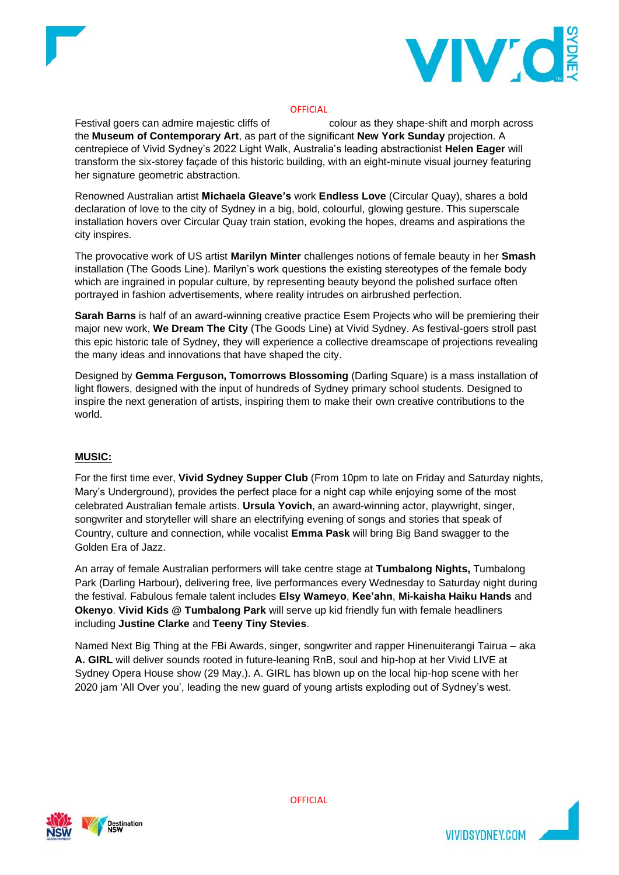



Festival goers can admire majestic cliffs of colour as they shape-shift and morph across the **Museum of Contemporary Art**, as part of the significant **New York Sunday** projection. A centrepiece of Vivid Sydney's 2022 Light Walk, Australia's leading abstractionist **Helen Eager** will transform the six-storey façade of this historic building, with an eight-minute visual journey featuring her signature geometric abstraction.

Renowned Australian artist **Michaela Gleave's** work **Endless Love** (Circular Quay), shares a bold declaration of love to the city of Sydney in a big, bold, colourful, glowing gesture. This superscale installation hovers over Circular Quay train station, evoking the hopes, dreams and aspirations the city inspires.

The provocative work of US artist **Marilyn Minter** challenges notions of female beauty in her **Smash** installation (The Goods Line). Marilyn's work questions the existing stereotypes of the female body which are ingrained in popular culture, by representing beauty beyond the polished surface often portrayed in fashion advertisements, where reality intrudes on airbrushed perfection.

**Sarah Barns** is half of an award-winning creative practice Esem Projects who will be premiering their major new work, **We Dream The City** (The Goods Line) at Vivid Sydney. As festival-goers stroll past this epic historic tale of Sydney, they will experience a collective dreamscape of projections revealing the many ideas and innovations that have shaped the city.

Designed by **Gemma Ferguson, Tomorrows Blossoming** (Darling Square) is a mass installation of light flowers, designed with the input of hundreds of Sydney primary school students. Designed to inspire the next generation of artists, inspiring them to make their own creative contributions to the world.

### **MUSIC:**

For the first time ever, **Vivid Sydney Supper Club** (From 10pm to late on Friday and Saturday nights, Mary's Underground), provides the perfect place for a night cap while enjoying some of the most celebrated Australian female artists. **Ursula Yovich**, an award-winning actor, playwright, singer, songwriter and storyteller will share an electrifying evening of songs and stories that speak of Country, culture and connection, while vocalist **Emma Pask** will bring Big Band swagger to the Golden Era of Jazz.

An array of female Australian performers will take centre stage at **Tumbalong Nights,** Tumbalong Park (Darling Harbour), delivering free, live performances every Wednesday to Saturday night during the festival. Fabulous female talent includes **Elsy Wameyo**, **Kee'ahn**, **Mi-kaisha Haiku Hands** and **Okenyo**. **Vivid Kids @ Tumbalong Park** will serve up kid friendly fun with female headliners including **Justine Clarke** and **Teeny Tiny Stevies**.

Named Next Big Thing at the FBi Awards, singer, songwriter and rapper Hinenuiterangi Tairua – aka **A. GIRL** will deliver sounds rooted in future-leaning RnB, soul and hip-hop at her Vivid LIVE at Sydney Opera House show (29 May,). A. GIRL has blown up on the local hip-hop scene with her 2020 jam 'All Over you', leading the new guard of young artists exploding out of Sydney's west.



**VIVIDSYDNEY.COM**